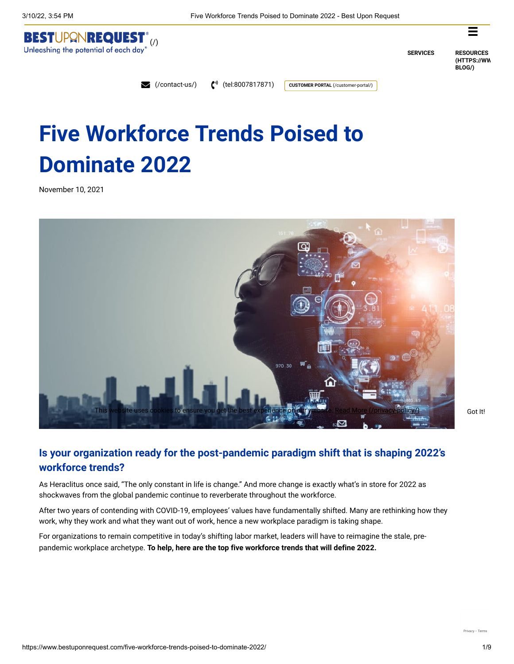



**SERVICES RESOURCES [\(HTTPS://WW](https://www.bestuponrequest.com/concierge-blog/) BLOG/)**

[\(/contact-us/\)](https://www.bestuponrequest.com/contact-us/) [\(tel:8007817871\)](tel:8007817871) **[CUSTOMER PORTAL](https://www.bestuponrequest.com/customer-portal/)** (/customer-portal/)

# **Five Workforce Trends Poised to Dominate 2022**

November 10, 2021



# **Is your organization ready for the post-pandemic paradigm shift that is shaping 2022's workforce trends?**

As Heraclitus once said, "The only constant in life is change." And more change is exactly what's in store for 2022 as shockwaves from the global pandemic continue to reverberate throughout the workforce.

After two years of contending with COVID-19, employees' values have fundamentally shifted. Many are rethinking how they work, why they work and what they want out of work, hence a new workplace paradigm is taking shape.

For organizations to remain competitive in today's shifting labor market, leaders will have to reimagine the stale, prepandemic workplace archetype. **To help, here are the top five workforce trends that will define 2022.**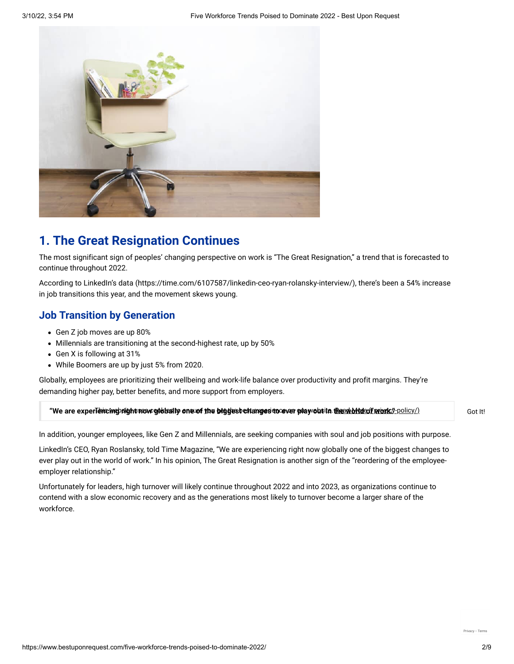

# **1. The Great Resignation Continues**

The most significant sign of peoples' changing perspective on work is "The Great Resignation," a trend that is forecasted to continue throughout 2022.

According to [LinkedIn's data \(https://time.com/6107587/linkedin-ceo-ryan-rolansky-interview/\)](https://time.com/6107587/linkedin-ceo-ryan-rolansky-interview/), there's been a 54% increase in job transitions this year, and the movement skews young.

#### **Job Transition by Generation**

- Gen Z job moves are up 80%
- Millennials are transitioning at the second-highest rate, up by 50%
- Gen X is following at 31%
- While Boomers are up by just 5% from 2020.

Globally, employees are prioritizing their wellbeing and work-life balance over productivity and profit margins. They're demanding higher pay, better benefits, and more support from employers.

#### **"We are experiencing night new globally one of the bliggest changes to ever play obt in the adolful cof princk", policy/) and the condition of the Got It!**

In addition, younger employees, like Gen Z and Millennials, are seeking companies with soul and job positions with purpose.

LinkedIn's CEO, Ryan Roslansky, told Time Magazine, "We are experiencing right now globally one of the biggest changes to ever play out in the world of work." In his opinion, The Great Resignation is another sign of the "reordering of the employeeemployer relationship."

Unfortunately for leaders, high turnover will likely continue throughout 2022 and into 2023, as organizations continue to contend with a slow economic recovery and as the generations most likely to turnover become a larger share of the workforce.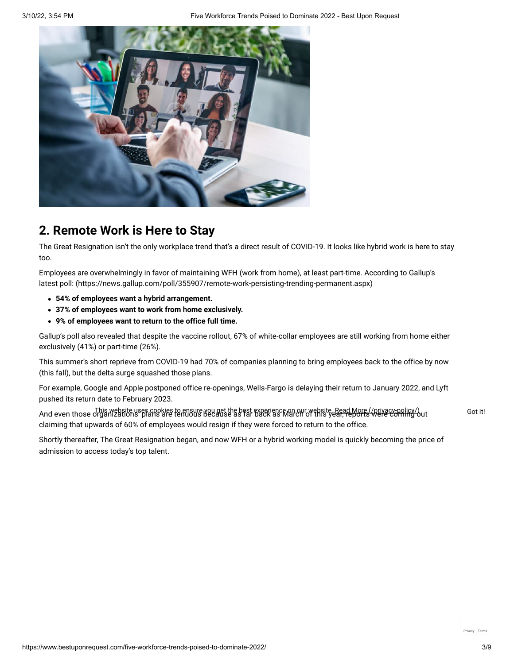

# **2. Remote Work is Here to Stay**

The Great Resignation isn't the only workplace trend that's a direct result of COVID-19. It looks like hybrid work is here to stay too.

[Employees are overwhelmingly in favor of maintaining WFH \(work from home\), at least part-time. According to Gallup's](https://news.gallup.com/poll/355907/remote-work-persisting-trending-permanent.aspx) latest poll: (https://news.gallup.com/poll/355907/remote-work-persisting-trending-permanent.aspx)

- **54% of employees want a hybrid arrangement.**
- **37% of employees want to work from home exclusively.**
- **9% of employees want to return to the office full time.**

Gallup's poll also revealed that despite the vaccine rollout, 67% of white-collar employees are still working from home either exclusively (41%) or part-time (26%).

This summer's short reprieve from COVID-19 had 70% of companies planning to bring employees back to the office by now (this fall), but the delta surge squashed those plans.

For example, Google and Apple postponed office re-openings, Wells-Fargo is delaying their return to January 2022, and Lyft pushed its return date to February 2023.

And even those organizations plans are tenuous because as far byggience on our website. [Read More \(/privacy-policy/\)](https://www.bestuponrequest.com/privacy-policy/)<br>And even those organizations plans are tenuous because as far back as March of this year, reports (were c claiming that upwards of 60% of employees would resign if they were forced to return to the office.

Shortly thereafter, The Great Resignation began, and now WFH or a hybrid working model is quickly becoming the price of admission to access today's top talent.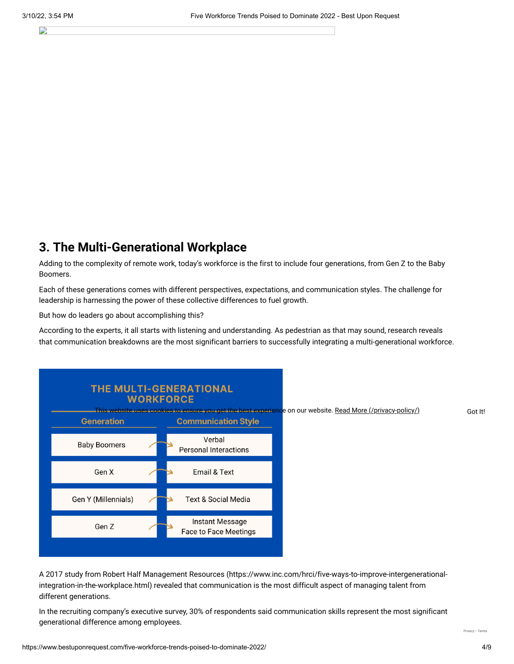#### B

# **3. The Multi-Generational Workplace**

Adding to the complexity of remote work, today's workforce is the first to include four generations, from Gen Z to the Baby Boomers.

Each of these generations comes with different perspectives, expectations, and communication styles. The challenge for leadership is harnessing the power of these collective differences to fuel growth.

But how do leaders go about accomplishing this?

According to the experts, it all starts with listening and understanding. As pedestrian as that may sound, research reveals that communication breakdowns are the most significant barriers to successfully integrating a multi-generational workforce.



[A 2017 study from Robert Half Management Resources \(https://www.inc.com/hrci/five-ways-to-improve-intergenerational](https://www.inc.com/hrci/five-ways-to-improve-intergenerational-integration-in-the-workplace.html)integration-in-the-workplace.html) revealed that communication is the most difficult aspect of managing talent from different generations.

In the recruiting company's executive survey, 30% of respondents said communication skills represent the most significant generational difference among employees.

[Privacy](https://www.google.com/intl/en/policies/privacy/) - [Terms](https://www.google.com/intl/en/policies/terms/)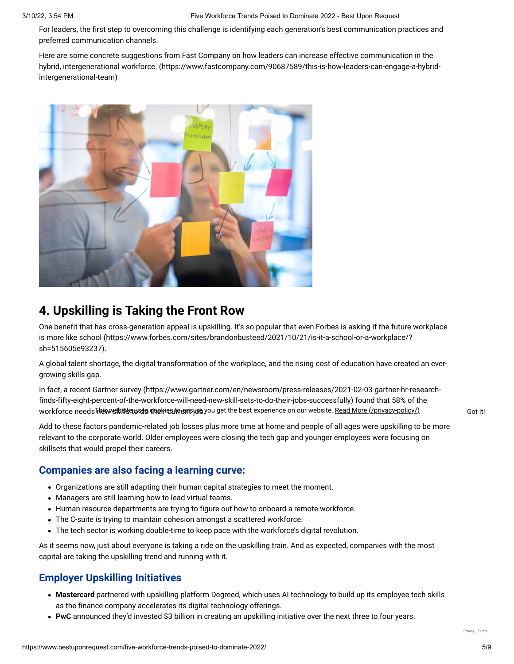For leaders, the first step to overcoming this challenge is identifying each generation's best communication practices and preferred communication channels.

Here are some concrete suggestions from Fast Company on how leaders can increase effective communication in the [hybrid, intergenerational workforce. \(https://www.fastcompany.com/90687589/this-is-how-leaders-can-engage-a-hybrid](https://www.fastcompany.com/90687589/this-is-how-leaders-can-engage-a-hybrid-intergenerational-team)intergenerational-team)



# **4. Upskilling is Taking the Front Row**

[One benefit that has cross-generation appeal is upskilling. It's so popular that even Forbes is asking if the future workplace](https://www.forbes.com/sites/brandonbusteed/2021/10/21/is-it-a-school-or-a-workplace/?sh=515605e93237) is more like school (https://www.forbes.com/sites/brandonbusteed/2021/10/21/is-it-a-school-or-a-workplace/? sh=515605e93237).

A global talent shortage, the digital transformation of the workplace, and the rising cost of education have created an evergrowing skills gap.

[In fact, a recent Gartner survey \(https://www.gartner.com/en/newsroom/press-releases/2021-02-03-gartner-hr-research](https://www.gartner.com/en/newsroom/press-releases/2021-02-03-gartner-hr-research-finds-fifty-eight-percent-of-the-workforce-will-need-new-skill-sets-to-do-their-jobs-successfully)finds-fifty-eight-percent-of-the-workforce-will-need-new-skill-sets-to-do-their-jobs-successfully) found that 58% of the workforce needs**Thewski排seuses theiriesureemsjub**.you get the best experience on our website. <u>[Read More \(/privacy-policy/\)](https://www.bestuponrequest.com/privacy-policy/)</u> Got It!

Add to these factors pandemic-related job losses plus more time at home and people of all ages were upskilling to be more relevant to the corporate world. Older employees were closing the tech gap and younger employees were focusing on skillsets that would propel their careers.

## **Companies are also facing a learning curve:**

- Organizations are still adapting their human capital strategies to meet the moment.
- Managers are still learning how to lead virtual teams.
- Human resource departments are trying to figure out how to onboard a remote workforce.
- The C-suite is trying to maintain cohesion amongst a scattered workforce.
- The tech sector is working double-time to keep pace with the workforce's digital revolution.

As it seems now, just about everyone is taking a ride on the upskilling train. And as expected, companies with the most capital are taking the upskilling trend and running with it.

## **Employer Upskilling Initiatives**

- **Mastercard** partnered with upskilling platform Degreed, which uses AI technology to build up its employee tech skills as the finance company accelerates its digital technology offerings.
- **PwC** announced they'd invested \$3 billion in creating an upskilling initiative over the next three to four years.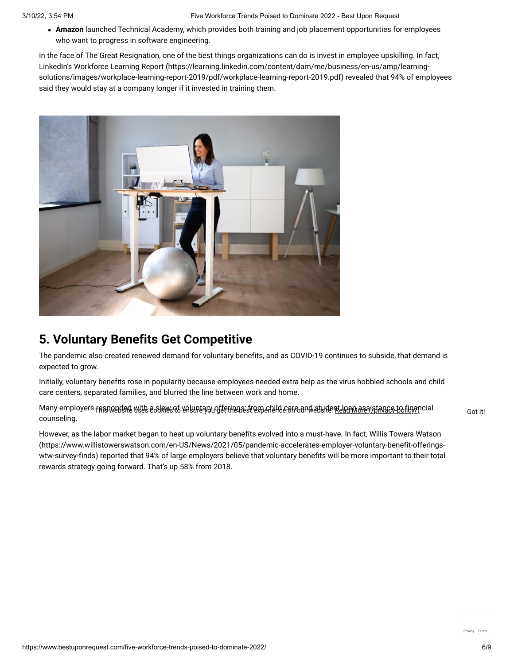**Amazon** launched Technical Academy, which provides both training and job placement opportunities for employees who want to progress in software engineering.

In the face of The Great Resignation, one of the best things organizations can do is invest in employee upskilling. In fact, LinkedIn's Workforce Learning Report (https://learning.linkedin.com/content/dam/me/business/en-us/amp/learning[solutions/images/workplace-learning-report-2019/pdf/workplace-learning-report-2019.pdf\) revealed that 94% of emp](https://learning.linkedin.com/content/dam/me/business/en-us/amp/learning-solutions/images/workplace-learning-report-2019/pdf/workplace-learning-report-2019.pdf)loyees said they would stay at a company longer if it invested in training them.



# **5. Voluntary Benefits Get Competitive**

The pandemic also created renewed demand for voluntary benefits, and as COVID-19 continues to subside, that demand is expected to grow.

Initially, voluntary benefits rose in popularity because employees needed extra help as the virus hobbled schools and child care centers, separated families, and blurred the line between work and home.

Many employers <del>raspondsa</del>d with a Alaws96 valunt973u9ferings frem ahild careand atuden<u>t laamassystance, to finan</u>cial cot It! counseling.

However, as the labor market began to heat up voluntary benefits evolved into a must-have. In fact, Willis Towers Watson [\(https://www.willistowerswatson.com/en-US/News/2021/05/pandemic-accelerates-employer-voluntary-benefit-offerings](https://www.willistowerswatson.com/en-US/News/2021/05/pandemic-accelerates-employer-voluntary-benefit-offerings-wtw-survey-finds)wtw-survey-finds) reported that 94% of large employers believe that voluntary benefits will be more important to their total rewards strategy going forward. That's up 58% from 2018.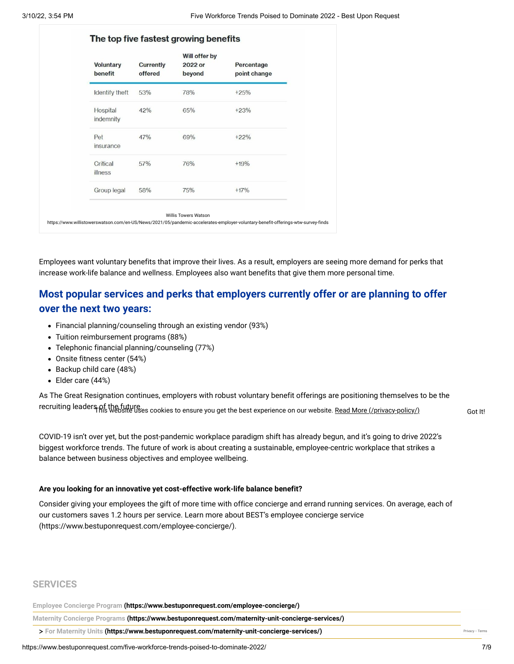| <b>Voluntary</b><br>benefit | <b>Currently</b><br>offered | Will offer by<br>2022 or<br>beyond | Percentage<br>point change |
|-----------------------------|-----------------------------|------------------------------------|----------------------------|
| Identify theft              | 53%                         | 78%                                | $+25%$                     |
| Hospital<br>indemnity       | 42%                         | 65%                                | $+23%$                     |
| Pet<br>insurance            | 47%                         | 69%                                | $+22%$                     |
| Critical<br>illness         | 57%                         | 76%                                | $+19%$                     |
| Group legal                 | 58%                         | 75%                                | $+17%$                     |

Employees want voluntary benefits that improve their lives. As a result, employers are seeing more demand for perks that increase work-life balance and wellness. Employees also want benefits that give them more personal time.

# **Most popular services and perks that employers currently offer or are planning to offer over the next two years:**

- Financial planning/counseling through an existing vendor (93%)
- Tuition reimbursement programs (88%)
- Telephonic financial planning/counseling (77%)
- Onsite fitness center (54%)
- Backup child care (48%)
- Elder care (44%)

As The Great Resignation continues, employers with robust voluntary benefit offerings are positioning themselves to be the recruiting leaders of the future.<br>Got It! Gostic way at the best cookies to ensure you get the best experience on our website. <u>[Read More \(/privacy-policy/\)](https://www.bestuponrequest.com/privacy-policy/)</u> Got It!

COVID-19 isn't over yet, but the post-pandemic workplace paradigm shift has already begun, and it's going to drive 2022's biggest workforce trends. The future of work is about creating a sustainable, employee-centric workplace that strikes a balance between business objectives and employee wellbeing.

#### **Are you looking for an innovative yet cost-effective work-life balance benefit?**

Consider giving your employees the gift of more time with office concierge and errand running services. On average, each of [our customers saves 1.2 hours per service. Learn more about BEST's employee concierge service](https://www.bestuponrequest.com/employee-concierge/) (https://www.bestuponrequest.com/employee-concierge/).

#### **SERVICES**

**[Employee Concierge Program \(https://www.bestuponrequest.com/employee-concierge/\)](https://www.bestuponrequest.com/employee-concierge/)**

**[Maternity Concierge Programs \(https://www.bestuponrequest.com/maternity-unit-concierge-services/\)](https://www.bestuponrequest.com/maternity-unit-concierge-services/)**

> [For Maternity Units \(https://www.bestuponrequest.com/maternity-unit-concierge-services/\)](https://www.bestuponrequest.com/maternity-unit-concierge-services/) [Privacy](https://www.google.com/intl/en/policies/privacy/) - [Terms](https://www.google.com/intl/en/policies/terms/) Privacy - Terms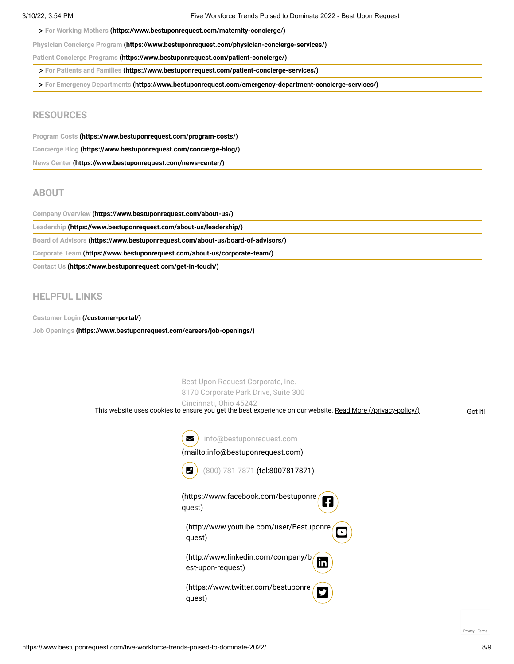**> [For Working Mothers \(https://www.bestuponrequest.com/maternity-concierge/\)](https://www.bestuponrequest.com/maternity-concierge/)**

| Physician Concierge Program (https://www.bestuponrequest.com/physician-concierge-services/) |  |
|---------------------------------------------------------------------------------------------|--|
|---------------------------------------------------------------------------------------------|--|

**[Patient Concierge Programs \(https://www.bestuponrequest.com/patient-concierge/\)](https://www.bestuponrequest.com/patient-concierge/)**

**> [For Patients and Families \(https://www.bestuponrequest.com/patient-concierge-services/\)](https://www.bestuponrequest.com/patient-concierge-services/)**

**> [For Emergency Departments \(https://www.bestuponrequest.com/emergency-department-concierge-services/\)](https://www.bestuponrequest.com/emergency-department-concierge-services/)**

#### **RESOURCES**

| Program Costs (https://www.bestuponrequest.com/program-costs/)   |
|------------------------------------------------------------------|
| Concierge Blog (https://www.bestuponrequest.com/concierge-blog/) |
| News Center (https://www.bestuponrequest.com/news-center/)       |

#### **ABOUT**

| Company Overview (https://www.bestuponrequest.com/about-us/)                    |
|---------------------------------------------------------------------------------|
| Leadership (https://www.bestuponrequest.com/about-us/leadership/)               |
| Board of Advisors (https://www.bestuponrequest.com/about-us/board-of-advisors/) |
| Corporate Team (https://www.bestuponrequest.com/about-us/corporate-team/)       |
| Contact Us (https://www.bestuponrequest.com/get-in-touch/)                      |

#### **HELPFUL LINKS**

**[Customer Login \(/customer-portal/\)](https://www.bestuponrequest.com/customer-portal/)**

**[Job Openings \(https://www.bestuponrequest.com/careers/job-openings/\)](https://www.bestuponrequest.com/careers/job-openings/)**

Best Upon Request Corporate, Inc. 8170 Corporate Park Drive, Suite 300 Cincinnati, Ohio 45242 **info@bestuponrequest.com** [\(mailto:info@bestuponrequest.com\)](mailto:info@bestuponrequest.com) **D** [\(800\) 781-7871 \(tel:8007817871\)](tel:8007817871) A) [\(https://www.facebook.com/bestuponre](https://www.facebook.com/bestuponrequest) quest)  $\mathbf{\Omega})$ [\(http://www.youtube.com/user/Bestuponre](http://www.youtube.com/user/Bestuponrequest) quest) in [\(http://www.linkedin.com/company/b](http://www.linkedin.com/company/best-upon-request) est-upon-request)  $\mathbf{E}$  ) [\(https://www.twitter.com/bestuponre](https://www.twitter.com/bestuponrequest) quest) This website uses cookies to ensure you get the best experience on our website. [Read More \(/privacy-policy/\)](https://www.bestuponrequest.com/privacy-policy/) Got It!

[Privacy](https://www.google.com/intl/en/policies/privacy/) - [Terms](https://www.google.com/intl/en/policies/terms/)